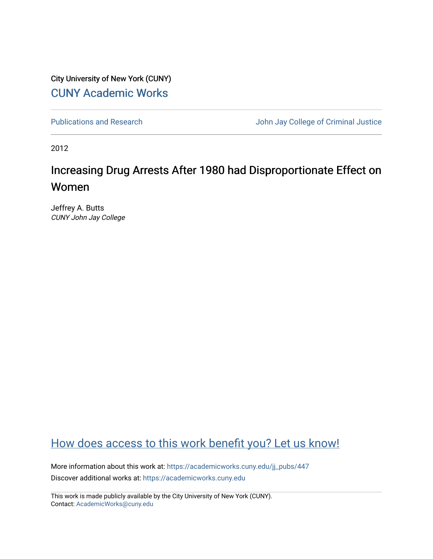City University of New York (CUNY) [CUNY Academic Works](https://academicworks.cuny.edu/) 

[Publications and Research](https://academicworks.cuny.edu/jj_pubs) **Value 2018** John Jay College of Criminal Justice

2012

# Increasing Drug Arrests After 1980 had Disproportionate Effect on Women

Jeffrey A. Butts CUNY John Jay College

## [How does access to this work benefit you? Let us know!](http://ols.cuny.edu/academicworks/?ref=https://academicworks.cuny.edu/jj_pubs/447)

More information about this work at: [https://academicworks.cuny.edu/jj\\_pubs/447](https://academicworks.cuny.edu/jj_pubs/447) Discover additional works at: [https://academicworks.cuny.edu](https://academicworks.cuny.edu/?)

This work is made publicly available by the City University of New York (CUNY). Contact: [AcademicWorks@cuny.edu](mailto:AcademicWorks@cuny.edu)